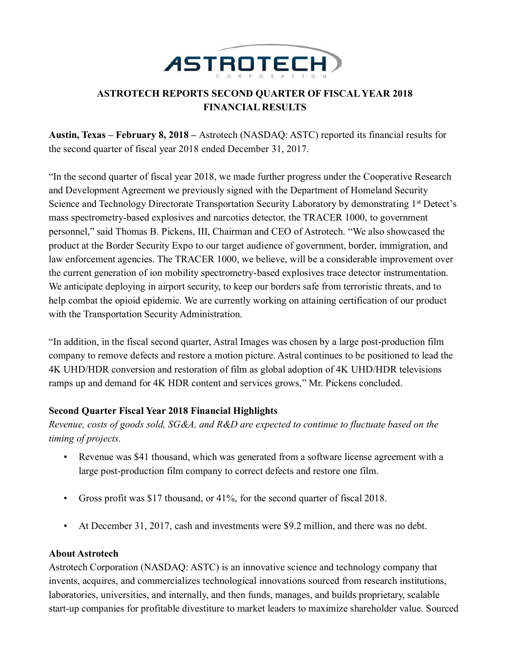

# **ASTROTECH REPORTS SECOND QUARTER OF FISCAL YEAR 2018 FINANCIAL RESULTS**

**Austin, Texas – February 8, 2018 –** Astrotech (NASDAQ: ASTC) reported its financial results for the second quarter of fiscal year 2018 ended December 31, 2017.

"In the second quarter of fiscal year 2018, we made further progress under the Cooperative Research and Development Agreement we previously signed with the Department of Homeland Security Science and Technology Directorate Transportation Security Laboratory by demonstrating 1<sup>st</sup> Detect's mass spectrometry-based explosives and narcotics detector, the TRACER 1000, to government personnel," said Thomas B. Pickens, III, Chairman and CEO of Astrotech. "We also showcased the product at the Border Security Expo to our target audience of government, border, immigration, and law enforcement agencies. The TRACER 1000, we believe, will be a considerable improvement over the current generation of ion mobility spectrometry-based explosives trace detector instrumentation. We anticipate deploying in airport security, to keep our borders safe from terroristic threats, and to help combat the opioid epidemic. We are currently working on attaining certification of our product with the Transportation Security Administration.

"In addition, in the fiscal second quarter, Astral Images was chosen by a large post-production film company to remove defects and restore a motion picture. Astral continues to be positioned to lead the 4K UHD/HDR conversion and restoration of film as global adoption of 4K UHD/HDR televisions ramps up and demand for 4K HDR content and services grows," Mr. Pickens concluded.

# **Second Quarter Fiscal Year 2018 Financial Highlights**

*Revenue, costs of goods sold, SG&A, and R&D are expected to continue to fluctuate based on the timing of projects.*

- Revenue was \$41 thousand, which was generated from a software license agreement with a large post-production film company to correct defects and restore one film.
- Gross profit was \$17 thousand, or 41%, for the second quarter of fiscal 2018.
- At December 31, 2017, cash and investments were \$9.2 million, and there was no debt.

# **About Astrotech**

Astrotech Corporation (NASDAQ: ASTC) is an innovative science and technology company that invents, acquires, and commercializes technological innovations sourced from research institutions, laboratories, universities, and internally, and then funds, manages, and builds proprietary, scalable start-up companies for profitable divestiture to market leaders to maximize shareholder value. Sourced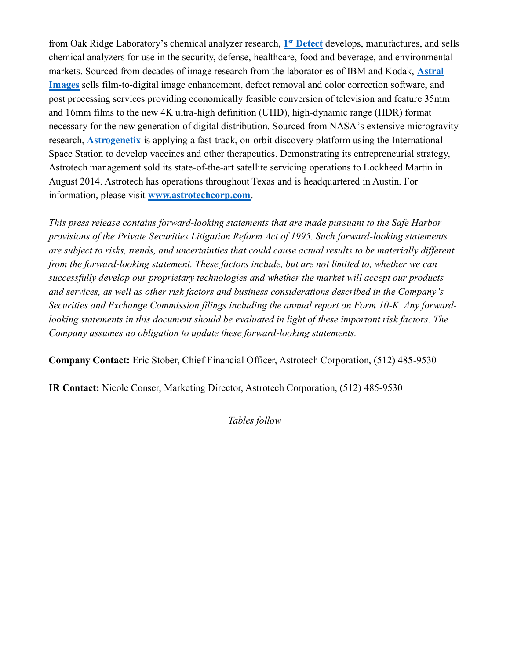from Oak Ridge Laboratory's chemical analyzer research, **1 st [Detect](http://www.1stdetect.com/?utm_campaign=2018-pr&utm_source=astc&utm_medium=businesswire&utm_content=20180208-q2fy18-1d-boiler)** develops, manufactures, and sells chemical analyzers for use in the security, defense, healthcare, food and beverage, and environmental markets. Sourced from decades of image research from the laboratories of IBM and Kodak, **[Astral](http://www.astral-images.com/?utm_campaign=2018-pr&utm_source=astc&utm_medium=businesswire&utm_content=20180208-q2fy18-astral-boiler)  [Images](http://www.astral-images.com/?utm_campaign=2018-pr&utm_source=astc&utm_medium=businesswire&utm_content=20180208-q2fy18-astral-boiler)** sells film-to-digital image enhancement, defect removal and color correction software, and post processing services providing economically feasible conversion of television and feature 35mm and 16mm films to the new 4K ultra-high definition (UHD), high-dynamic range (HDR) format necessary for the new generation of digital distribution. Sourced from NASA's extensive microgravity research, **[Astrogenetix](http://www.astrogenetix.com/?utm_campaign=2018-pr&utm_source=astc&utm_medium=businesswire&utm_content=20180208-q2fy18-astrogenetix-boiler)** is applying a fast-track, on-orbit discovery platform using the International Space Station to develop vaccines and other therapeutics. Demonstrating its entrepreneurial strategy, Astrotech management sold its state-of-the-art satellite servicing operations to Lockheed Martin in August 2014. Astrotech has operations throughout Texas and is headquartered in Austin. For information, please visit **[www.astrotechcorp.com](http://www.astrotechcorp.com/?utm_campaign=2018-pr&utm_source=astc&utm_medium=businesswire&utm_content=20180208-q2fy18-astc-boiler)**.

*This press release contains forward-looking statements that are made pursuant to the Safe Harbor provisions of the Private Securities Litigation Reform Act of 1995. Such forward-looking statements are subject to risks, trends, and uncertainties that could cause actual results to be materially different from the forward-looking statement. These factors include, but are not limited to, whether we can successfully develop our proprietary technologies and whether the market will accept our products and services, as well as other risk factors and business considerations described in the Company's Securities and Exchange Commission filings including the annual report on Form 10-K. Any forwardlooking statements in this document should be evaluated in light of these important risk factors. The Company assumes no obligation to update these forward-looking statements.*

**Company Contact:** Eric Stober, Chief Financial Officer, Astrotech Corporation, (512) 485-9530

**IR Contact:** Nicole Conser, Marketing Director, Astrotech Corporation, (512) 485-9530

*Tables follow*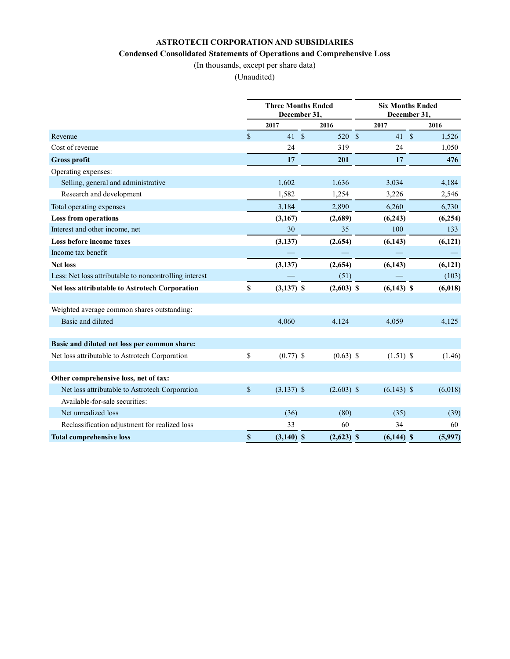### **ASTROTECH CORPORATION AND SUBSIDIARIES**

### **Condensed Consolidated Statements of Operations and Comprehensive Loss**

(In thousands, except per share data)

(Unaudited)

|                                                        | <b>Three Months Ended</b><br>December 31, |              |  |              | <b>Six Months Ended</b><br>December 31, |              |  |          |
|--------------------------------------------------------|-------------------------------------------|--------------|--|--------------|-----------------------------------------|--------------|--|----------|
|                                                        |                                           | 2017         |  | 2016         |                                         | 2017         |  | 2016     |
| Revenue                                                | $\mathbf S$                               | 41S          |  | 520 \$       |                                         | 41S          |  | 1,526    |
| Cost of revenue                                        |                                           | 24           |  | 319          |                                         | 24           |  | 1,050    |
| <b>Gross profit</b>                                    |                                           | 17           |  | 201          |                                         | 17           |  | 476      |
| Operating expenses:                                    |                                           |              |  |              |                                         |              |  |          |
| Selling, general and administrative                    |                                           | 1,602        |  | 1,636        |                                         | 3,034        |  | 4,184    |
| Research and development                               |                                           | 1,582        |  | 1,254        |                                         | 3,226        |  | 2,546    |
| Total operating expenses                               |                                           | 3,184        |  | 2,890        |                                         | 6,260        |  | 6,730    |
| <b>Loss from operations</b>                            |                                           | (3,167)      |  | (2,689)      |                                         | (6,243)      |  | (6,254)  |
| Interest and other income, net                         |                                           | 30           |  | 35           |                                         | 100          |  | 133      |
| Loss before income taxes                               |                                           | (3, 137)     |  | (2,654)      |                                         | (6,143)      |  | (6,121)  |
| Income tax benefit                                     |                                           |              |  |              |                                         |              |  |          |
| <b>Net loss</b>                                        |                                           | (3,137)      |  | (2,654)      |                                         | (6,143)      |  | (6, 121) |
| Less: Net loss attributable to noncontrolling interest |                                           |              |  | (51)         |                                         |              |  | (103)    |
| Net loss attributable to Astrotech Corporation         | \$                                        | $(3,137)$ \$ |  | $(2,603)$ \$ |                                         | $(6,143)$ \$ |  | (6,018)  |
| Weighted average common shares outstanding:            |                                           |              |  |              |                                         |              |  |          |
| Basic and diluted                                      |                                           | 4,060        |  | 4,124        |                                         | 4,059        |  | 4,125    |
| Basic and diluted net loss per common share:           |                                           |              |  |              |                                         |              |  |          |
| Net loss attributable to Astrotech Corporation         | \$                                        | $(0.77)$ \$  |  | $(0.63)$ \$  |                                         | $(1.51)$ \$  |  | (1.46)   |
| Other comprehensive loss, net of tax:                  |                                           |              |  |              |                                         |              |  |          |
| Net loss attributable to Astrotech Corporation         | \$                                        | $(3,137)$ \$ |  | $(2,603)$ \$ |                                         | $(6,143)$ \$ |  | (6,018)  |
| Available-for-sale securities:                         |                                           |              |  |              |                                         |              |  |          |
| Net unrealized loss                                    |                                           | (36)         |  | (80)         |                                         | (35)         |  | (39)     |
| Reclassification adjustment for realized loss          |                                           | 33           |  | 60           |                                         | 34           |  | 60       |
| <b>Total comprehensive loss</b>                        | \$                                        | $(3,140)$ \$ |  | $(2,623)$ \$ |                                         | $(6,144)$ \$ |  | (5,997)  |